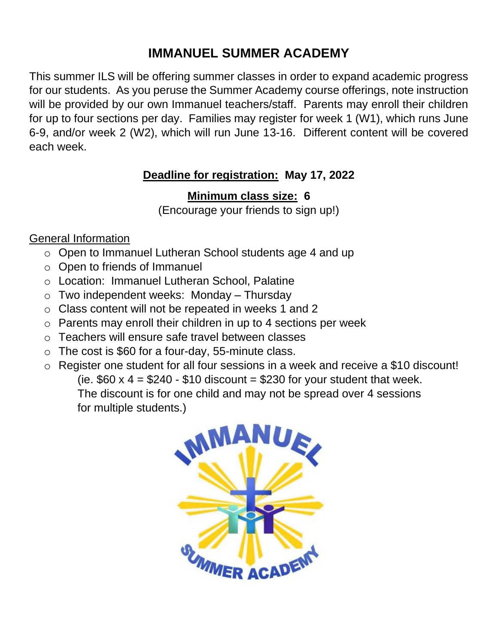## **IMMANUEL SUMMER ACADEMY**

This summer ILS will be offering summer classes in order to expand academic progress for our students. As you peruse the Summer Academy course offerings, note instruction will be provided by our own Immanuel teachers/staff. Parents may enroll their children for up to four sections per day. Families may register for week 1 (W1), which runs June 6-9, and/or week 2 (W2), which will run June 13-16. Different content will be covered each week.

## **Deadline for registration: May 17, 2022**

## **Minimum class size: 6**

(Encourage your friends to sign up!)

## General Information

- o Open to Immanuel Lutheran School students age 4 and up
- o Open to friends of Immanuel
- o Location: Immanuel Lutheran School, Palatine
- $\circ$  Two independent weeks: Monday Thursday
- o Class content will not be repeated in weeks 1 and 2
- o Parents may enroll their children in up to 4 sections per week
- o Teachers will ensure safe travel between classes
- $\circ$  The cost is \$60 for a four-day, 55-minute class.
- o Register one student for all four sessions in a week and receive a \$10 discount! (ie.  $$60 \times 4 = $240 - $10$  discount = \$230 for your student that week. The discount is for one child and may not be spread over 4 sessions for multiple students.)

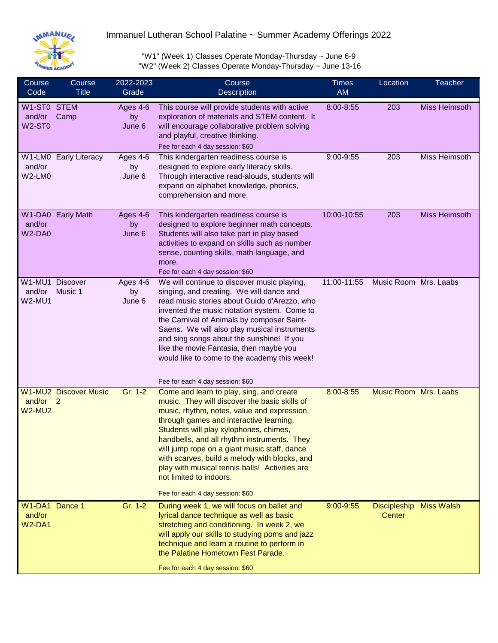

Immanuel Lutheran School Palatine ~ Summer Academy Offerings 2022

"W1" (Week 1) Classes Operate Monday-Thursday ~ June 6-9 "W2" (Week 2) Classes Operate Monday-Thursday ~ June 13-16

| Course<br>Code                            | Course<br><b>Title</b>       | 2022-2023<br>Grade       | Course<br>Description                                                                                                                                                                                                                                                                                                                                                                                                                                                                                                             | <b>Times</b><br><b>AM</b> | Location                      | <b>Teacher</b>       |
|-------------------------------------------|------------------------------|--------------------------|-----------------------------------------------------------------------------------------------------------------------------------------------------------------------------------------------------------------------------------------------------------------------------------------------------------------------------------------------------------------------------------------------------------------------------------------------------------------------------------------------------------------------------------|---------------------------|-------------------------------|----------------------|
| W1-ST0 STEM<br>and/or<br>W2-ST0           | Camp                         | Ages 4-6<br>by<br>June 6 | This course will provide students with active<br>exploration of materials and STEM content. It<br>will encourage collaborative problem solving<br>and playful, creative thinking.<br>Fee for each 4 day session: \$60                                                                                                                                                                                                                                                                                                             | 8:00-8:55                 | 203                           | <b>Miss Heimsoth</b> |
| and/or<br>W2-LM0                          | W1-LM0 Early Literacy        | Ages 4-6<br>by<br>June 6 | This kindergarten readiness course is<br>designed to explore early literacy skills.<br>Through interactive read-alouds, students will<br>expand on alphabet knowledge, phonics,<br>comprehension and more.                                                                                                                                                                                                                                                                                                                        | 9:00-9:55                 | 203                           | Miss Heimsoth        |
| and/or<br>W <sub>2</sub> -DA <sub>0</sub> | W1-DA0 Early Math            | Ages 4-6<br>by<br>June 6 | This kindergarten readiness course is<br>designed to explore beginner math concepts.<br>Students will also take part in play based<br>activities to expand on skills such as number<br>sense, counting skills, math language, and<br>more.<br>Fee for each 4 day session: \$60                                                                                                                                                                                                                                                    | 10:00-10:55               | 203                           | <b>Miss Heimsoth</b> |
| W1-MU1 Discover<br>and/or<br>$W2-MU1$     | Music 1                      | Ages 4-6<br>by<br>June 6 | We will continue to discover music playing,<br>singing, and creating. We will dance and<br>read music stories about Guido d'Arezzo, who<br>invented the music notation system. Come to<br>the Carnival of Animals by composer Saint-<br>Saens. We will also play musical instruments<br>and sing songs about the sunshine! If you<br>like the movie Fantasia, then maybe you<br>would like to come to the academy this week!                                                                                                      | 11:00-11:55               | Music Room Mrs. Laabs         |                      |
| and/or 2<br><b>W2-MU2</b>                 | <b>W1-MU2 Discover Music</b> | Gr. 1-2                  | Fee for each 4 day session: \$60<br>Come and learn to play, sing, and create<br>music. They will discover the basic skills of<br>music, rhythm, notes, value and expression<br>through games and interactive learning.<br>Students will play xylophones, chimes,<br>handbells, and all rhythm instruments. They<br>will jump rope on a giant music staff, dance<br>with scarves, build a melody with blocks, and<br>play with musical tennis balls! Activities are<br>not limited to indoors.<br>Fee for each 4 day session: \$60 | 8:00-8:55                 | <b>Music Room Mrs. Laabs</b>  |                      |
| W1-DA1 Dance 1<br>and/or<br><b>W2-DA1</b> |                              | Gr. 1-2                  | During week 1, we will focus on ballet and<br>lyrical dance technique as well as basic<br>stretching and conditioning. In week 2, we<br>will apply our skills to studying poms and jazz<br>technique and learn a routine to perform in<br>the Palatine Hometown Fest Parade.<br>Fee for each 4 day session: \$60                                                                                                                                                                                                                  | 9:00-9:55                 | <b>Discipleship</b><br>Center | <b>Miss Walsh</b>    |